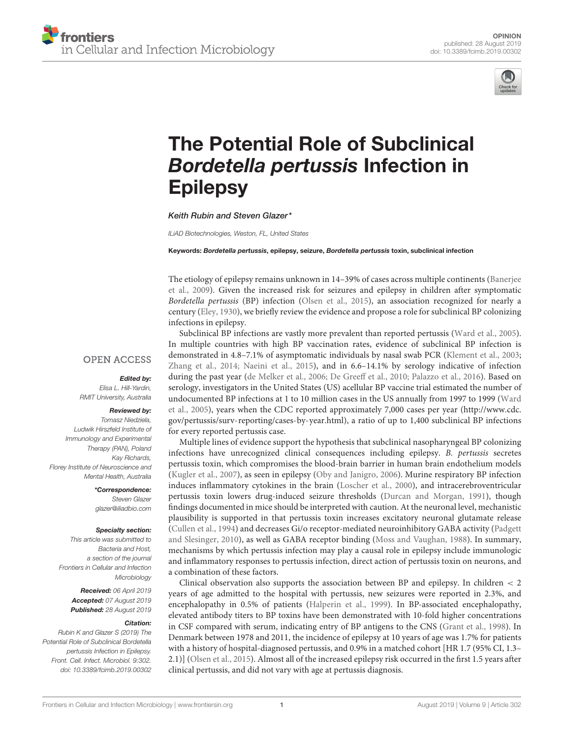

# [The Potential Role of Subclinical](https://www.frontiersin.org/articles/10.3389/fcimb.2019.00302/full) Bordetella pertussis Infection in Epilepsy

Keith Rubin and [Steven Glazer\\*](http://loop.frontiersin.org/people/555544/overview)

*ILiAD Biotechnologies, Weston, FL, United States*

Keywords: Bordetella pertussis, epilepsy, seizure, Bordetella pertussis toxin, subclinical infection

The etiology of epilepsy remains unknown in 14–39% of cases across multiple continents (Banerjee et al., [2009\)](#page-1-0). Given the increased risk for seizures and epilepsy in children after symptomatic Bordetella pertussis (BP) infection [\(Olsen et al., 2015\)](#page-1-1), an association recognized for nearly a century [\(Eley, 1930\)](#page-1-2), we briefly review the evidence and propose a role for subclinical BP colonizing infections in epilepsy.

**OPEN ACCESS** 

#### Edited by:

*Elisa L. Hill-Yardin, RMIT University, Australia*

#### Reviewed by:

*Tomasz Niedziela, Ludwik Hirszfeld Institute of Immunology and Experimental Therapy (PAN), Poland Kay Richards, Florey Institute of Neuroscience and Mental Health, Australia*

> \*Correspondence: *Steven Glazer [glazer@iliadbio.com](mailto:glazer@iliadbio.com)*

#### Specialty section:

*This article was submitted to Bacteria and Host, a section of the journal Frontiers in Cellular and Infection Microbiology*

> Received: *06 April 2019* Accepted: *07 August 2019* Published: *28 August 2019*

#### Citation:

*Rubin K and Glazer S (2019) The Potential Role of Subclinical Bordetella pertussis Infection in Epilepsy. Front. Cell. Infect. Microbiol. 9:302. doi: [10.3389/fcimb.2019.00302](https://doi.org/10.3389/fcimb.2019.00302)*

Subclinical BP infections are vastly more prevalent than reported pertussis [\(Ward et al., 2005\)](#page-2-0). In multiple countries with high BP vaccination rates, evidence of subclinical BP infection is demonstrated in 4.8–7.1% of asymptomatic individuals by nasal swab PCR [\(Klement et al., 2003;](#page-1-3) [Zhang et al., 2014;](#page-2-1) [Naeini et al., 2015\)](#page-1-4), and in 6.6–14.1% by serology indicative of infection during the past year [\(de Melker et al., 2006;](#page-1-5) [De Greeff et al., 2010;](#page-1-6) [Palazzo et al., 2016\)](#page-1-7). Based on serology, investigators in the United States (US) acellular BP vaccine trial estimated the number of undocumented BP infections at 1 to 10 million cases in the US annually from 1997 to 1999 (Ward et al., [2005\)](#page-2-0), years when the CDC reported approximately 7,000 cases per year [\(http://www.cdc.](http://www.cdc.gov/pertussis/surv-reporting/cases-by-year.html) [gov/pertussis/surv-reporting/cases-by-year.html\)](http://www.cdc.gov/pertussis/surv-reporting/cases-by-year.html), a ratio of up to 1,400 subclinical BP infections for every reported pertussis case.

Multiple lines of evidence support the hypothesis that subclinical nasopharyngeal BP colonizing infections have unrecognized clinical consequences including epilepsy. B. pertussis secretes pertussis toxin, which compromises the blood-brain barrier in human brain endothelium models [\(Kugler et al., 2007\)](#page-1-8), as seen in epilepsy [\(Oby and Janigro, 2006\)](#page-1-9). Murine respiratory BP infection induces inflammatory cytokines in the brain [\(Loscher et al., 2000\)](#page-1-10), and intracerebroventricular pertussis toxin lowers drug-induced seizure thresholds [\(Durcan and Morgan, 1991\)](#page-1-11), though findings documented in mice should be interpreted with caution. At the neuronal level, mechanistic plausibility is supported in that pertussis toxin increases excitatory neuronal glutamate release [\(Cullen et al., 1994\)](#page-1-12) and decreases Gi/o receptor-mediated neuroinhibitory GABA activity (Padgett and Slesinger, [2010\)](#page-1-13), as well as GABA receptor binding [\(Moss and Vaughan, 1988\)](#page-1-14). In summary, mechanisms by which pertussis infection may play a causal role in epilepsy include immunologic and inflammatory responses to pertussis infection, direct action of pertussis toxin on neurons, and a combination of these factors.

Clinical observation also supports the association between BP and epilepsy. In children < 2 years of age admitted to the hospital with pertussis, new seizures were reported in 2.3%, and encephalopathy in 0.5% of patients [\(Halperin et al., 1999\)](#page-1-15). In BP-associated encephalopathy, elevated antibody titers to BP toxins have been demonstrated with 10-fold higher concentrations in CSF compared with serum, indicating entry of BP antigens to the CNS [\(Grant et al., 1998\)](#page-1-16). In Denmark between 1978 and 2011, the incidence of epilepsy at 10 years of age was 1.7% for patients with a history of hospital-diagnosed pertussis, and 0.9% in a matched cohort [HR 1.7 (95% CI, 1.3– 2.1)] [\(Olsen et al., 2015\)](#page-1-1). Almost all of the increased epilepsy risk occurred in the first 1.5 years after clinical pertussis, and did not vary with age at pertussis diagnosis.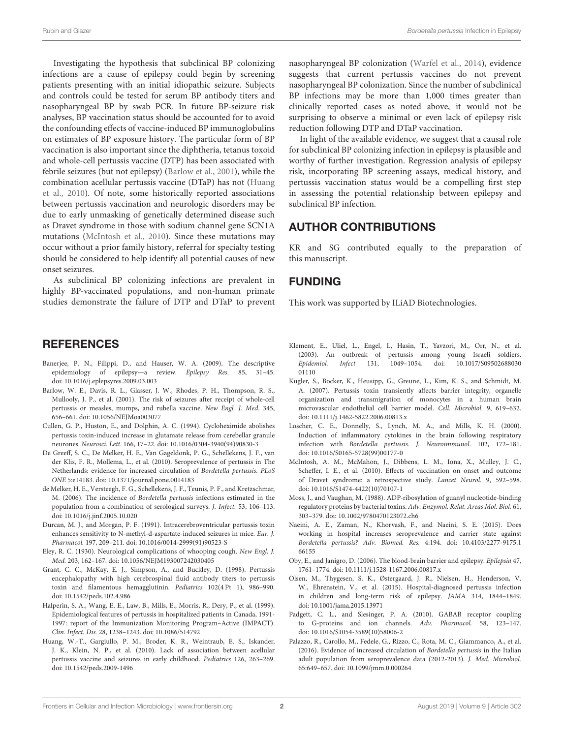Investigating the hypothesis that subclinical BP colonizing infections are a cause of epilepsy could begin by screening patients presenting with an initial idiopathic seizure. Subjects and controls could be tested for serum BP antibody titers and nasopharyngeal BP by swab PCR. In future BP-seizure risk analyses, BP vaccination status should be accounted for to avoid the confounding effects of vaccine-induced BP immunoglobulins on estimates of BP exposure history. The particular form of BP vaccination is also important since the diphtheria, tetanus toxoid and whole-cell pertussis vaccine (DTP) has been associated with febrile seizures (but not epilepsy) [\(Barlow et al., 2001\)](#page-1-17), while the combination acellular pertussis vaccine (DTaP) has not (Huang et al., [2010\)](#page-1-18). Of note, some historically reported associations between pertussis vaccination and neurologic disorders may be due to early unmasking of genetically determined disease such as Dravet syndrome in those with sodium channel gene SCN1A mutations [\(McIntosh et al., 2010\)](#page-1-19). Since these mutations may occur without a prior family history, referral for specialty testing should be considered to help identify all potential causes of new onset seizures.

As subclinical BP colonizing infections are prevalent in highly BP-vaccinated populations, and non-human primate studies demonstrate the failure of DTP and DTaP to prevent

### **REFERENCES**

- <span id="page-1-0"></span>Banerjee, P. N., Filippi, D., and Hauser, W. A. (2009). The descriptive epidemiology of epilepsy—a review. Epilepsy Res. 85, 31–45. doi: [10.1016/j.eplepsyres.2009.03.003](https://doi.org/10.1016/j.eplepsyres.2009.03.003)
- <span id="page-1-17"></span>Barlow, W. E., Davis, R. L., Glasser, J. W., Rhodes, P. H., Thompson, R. S., Mullooly, J. P., et al. (2001). The risk of seizures after receipt of whole-cell pertussis or measles, mumps, and rubella vaccine. New Engl. J. Med. 345, 656–661. doi: [10.1056/NEJMoa003077](https://doi.org/10.1056/NEJMoa003077)
- <span id="page-1-12"></span>Cullen, G. P., Huston, E., and Dolphin, A. C. (1994). Cycloheximide abolishes pertussis toxin-induced increase in glutamate release from cerebellar granule neurones. Neurosci. Lett. 166, 17–22. doi: [10.1016/0304-3940\(94\)90830-3](https://doi.org/10.1016/0304-3940(94)90830-3)
- <span id="page-1-6"></span>De Greeff, S. C., De Melker, H. E., Van Gageldonk, P. G., Schellekens, J. F., van der Klis, F. R., Mollema, L., et al. (2010). Seroprevalence of pertussis in The Netherlands: evidence for increased circulation of Bordetella pertussis. PLoS ONE 5:e14183. doi: [10.1371/journal.pone.0014183](https://doi.org/10.1371/journal.pone.0014183)
- <span id="page-1-5"></span>de Melker, H. E., Versteegh, F. G., Schellekens, J. F., Teunis, P. F., and Kretzschmar, M. (2006). The incidence of Bordetella pertussis infections estimated in the population from a combination of serological surveys. J. Infect. 53, 106–113. doi: [10.1016/j.jinf.2005.10.020](https://doi.org/10.1016/j.jinf.2005.10.020)
- <span id="page-1-11"></span>Durcan, M. J., and Morgan, P. F. (1991). Intracerebroventricular pertussis toxin enhances sensitivity to N-methyl-d-aspartate-induced seizures in mice. Eur. J. Pharmacol. 197, 209–211. doi: [10.1016/0014-2999\(91\)90523-S](https://doi.org/10.1016/0014-2999(91)90523-S)
- <span id="page-1-2"></span>Eley, R. C. (1930). Neurological complications of whooping cough. New Engl. J. Med. 203, 162–167. doi: [10.1056/NEJM193007242030405](https://doi.org/10.1056/NEJM193007242030405)
- <span id="page-1-16"></span>Grant, C. C., McKay, E. J., Simpson, A., and Buckley, D. (1998). Pertussis encephalopathy with high cerebrospinal fluid antibody titers to pertussis toxin and filamentous hemagglutinin. Pediatrics 102(4 Pt 1), 986–990. doi: [10.1542/peds.102.4.986](https://doi.org/10.1542/peds.102.4.986)
- <span id="page-1-15"></span>Halperin, S. A., Wang, E. E., Law, B., Mills, E., Morris, R., Dery, P., et al. (1999). Epidemiological features of pertussis in hospitalized patients in Canada, 1991- 1997: report of the Immunization Monitoring Program–Active (IMPACT). Clin. Infect. Dis. 28, 1238–1243. doi: [10.1086/514792](https://doi.org/10.1086/514792)
- <span id="page-1-18"></span>Huang, W.-T., Gargiullo, P. M., Broder, K. R., Weintraub, E. S., Iskander, J. K., Klein, N. P., et al. (2010). Lack of association between acellular pertussis vaccine and seizures in early childhood. Pediatrics 126, 263–269. doi: [10.1542/peds.2009-1496](https://doi.org/10.1542/peds.2009-1496)

nasopharyngeal BP colonization [\(Warfel et al., 2014\)](#page-2-2), evidence suggests that current pertussis vaccines do not prevent nasopharyngeal BP colonization. Since the number of subclinical BP infections may be more than 1,000 times greater than clinically reported cases as noted above, it would not be surprising to observe a minimal or even lack of epilepsy risk reduction following DTP and DTaP vaccination.

In light of the available evidence, we suggest that a causal role for subclinical BP colonizing infection in epilepsy is plausible and worthy of further investigation. Regression analysis of epilepsy risk, incorporating BP screening assays, medical history, and pertussis vaccination status would be a compelling first step in assessing the potential relationship between epilepsy and subclinical BP infection.

## AUTHOR CONTRIBUTIONS

KR and SG contributed equally to the preparation of this manuscript.

## FUNDING

This work was supported by ILiAD Biotechnologies.

- <span id="page-1-3"></span>Klement, E., Uliel, L., Engel, I., Hasin, T., Yavzori, M., Orr, N., et al. (2003). An outbreak of pertussis among young Israeli soldiers. Epidemiol. Infect [131, 1049–1054. doi: 10.1017/S09502688030](https://doi.org/10.1017/S0950268803001110) 01110
- <span id="page-1-8"></span>Kugler, S., Bocker, K., Heusipp, G., Greune, L., Kim, K. S., and Schmidt, M. A. (2007). Pertussis toxin transiently affects barrier integrity, organelle organization and transmigration of monocytes in a human brain microvascular endothelial cell barrier model. Cell. Microbiol. 9, 619–632. doi: [10.1111/j.1462-5822.2006.00813.x](https://doi.org/10.1111/j.1462-5822.2006.00813.x)
- <span id="page-1-10"></span>Loscher, C. E., Donnelly, S., Lynch, M. A., and Mills, K. H. (2000). Induction of inflammatory cytokines in the brain following respiratory infection with Bordetella pertussis. J. Neuroimmunol. 102, 172–181. doi: [10.1016/S0165-5728\(99\)00177-0](https://doi.org/10.1016/S0165-5728(99)00177-0)
- <span id="page-1-19"></span>McIntosh, A. M., McMahon, J., Dibbens, L. M., Iona, X., Mulley, J. C., Scheffer, I. E., et al. (2010). Effects of vaccination on onset and outcome of Dravet syndrome: a retrospective study. Lancet Neurol. 9, 592–598. doi: [10.1016/S1474-4422\(10\)70107-1](https://doi.org/10.1016/S1474-4422(10)70107-1)
- <span id="page-1-14"></span>Moss, J., and Vaughan, M. (1988). ADP-ribosylation of guanyl nucleotide-binding regulatory proteins by bacterial toxins. Adv. Enzymol. Relat. Areas Mol. Biol. 61, 303–379. doi: [10.1002/9780470123072.ch6](https://doi.org/10.1002/9780470123072.ch6)
- <span id="page-1-4"></span>Naeini, A. E., Zaman, N., Khorvash, F., and Naeini, S. E. (2015). Does working in hospital increases seroprevalence and carrier state against Bordetella pertussis? Adv. Biomed. Res. [4:194. doi: 10.4103/2277-9175.1](https://doi.org/10.4103/2277-9175.166155) 66155
- <span id="page-1-9"></span>Oby, E., and Janigro, D. (2006). The blood-brain barrier and epilepsy. Epilepsia 47, 1761–1774. doi: [10.1111/j.1528-1167.2006.00817.x](https://doi.org/10.1111/j.1528-1167.2006.00817.x)
- <span id="page-1-1"></span>Olsen, M., Thygesen, S. K., Østergaard, J. R., Nielsen, H., Henderson, V. W., Ehrenstein, V., et al. (2015). Hospital-diagnosed pertussis infection in children and long-term risk of epilepsy. JAMA 314, 1844–1849. doi: [10.1001/jama.2015.13971](https://doi.org/10.1001/jama.2015.13971)
- <span id="page-1-13"></span>Padgett, C. L., and Slesinger, P. A. (2010). GABAB receptor coupling to G-proteins and ion channels. Adv. Pharmacol. 58, 123–147. doi: [10.1016/S1054-3589\(10\)58006-2](https://doi.org/10.1016/S1054-3589(10)58006-2)
- <span id="page-1-7"></span>Palazzo, R., Carollo, M., Fedele, G., Rizzo, C., Rota, M. C., Giammanco, A., et al. (2016). Evidence of increased circulation of Bordetella pertussis in the Italian adult population from seroprevalence data (2012-2013). J. Med. Microbiol. 65:649–657. doi: [10.1099/jmm.0.000264](https://doi.org/10.1099/jmm.0.000264)